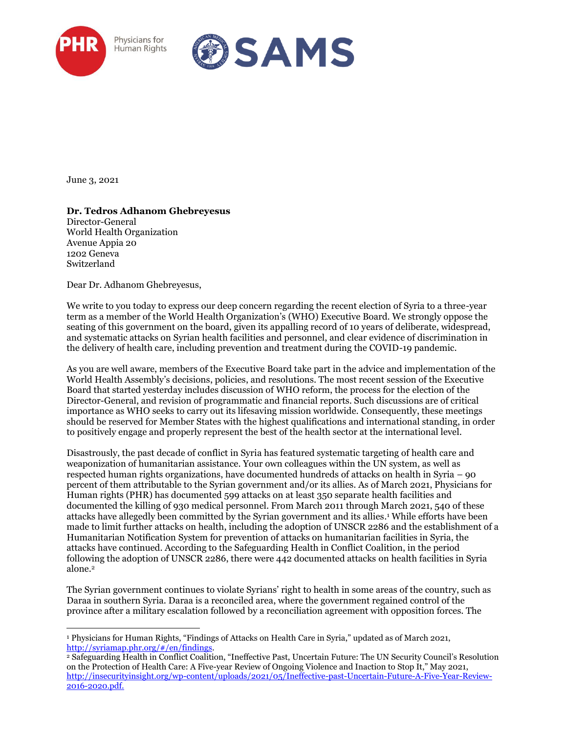



June 3, 2021

## **Dr. Tedros Adhanom Ghebreyesus**

Director-General World Health Organization Avenue Appia 20 1202 Geneva Switzerland

Dear Dr. Adhanom Ghebreyesus,

We write to you today to express our deep concern regarding the recent election of Syria to a three-year term as a member of the World Health Organization's (WHO) Executive Board. We strongly oppose the seating of this government on the board, given its appalling record of 10 years of deliberate, widespread, and systematic attacks on Syrian health facilities and personnel, and clear evidence of discrimination in the delivery of health care, including prevention and treatment during the COVID-19 pandemic.

As you are well aware, members of the Executive Board take part in the advice and implementation of the World Health Assembly's decisions, policies, and resolutions. The most recent session of the Executive Board that started yesterday includes discussion of WHO reform, the process for the election of the Director-General, and revision of programmatic and financial reports. Such discussions are of critical importance as WHO seeks to carry out its lifesaving mission worldwide. Consequently, these meetings should be reserved for Member States with the highest qualifications and international standing, in order to positively engage and properly represent the best of the health sector at the international level.

Disastrously, the past decade of conflict in Syria has featured systematic targeting of health care and weaponization of humanitarian assistance. Your own colleagues within the UN system, as well as respected human rights organizations, have documented hundreds of attacks on health in Syria – 90 percent of them attributable to the Syrian government and/or its allies. As of March 2021, Physicians for Human rights (PHR) has documented 599 attacks on at least 350 separate health facilities and documented the killing of 930 medical personnel. From March 2011 through March 2021, 540 of these attacks have allegedly been committed by the Syrian government and its allies. <sup>1</sup> While efforts have been made to limit further attacks on health, including the adoption of UNSCR 2286 and the establishment of a Humanitarian Notification System for prevention of attacks on humanitarian facilities in Syria, the attacks have continued. According to the Safeguarding Health in Conflict Coalition, in the period following the adoption of UNSCR 2286, there were 442 documented attacks on health facilities in Syria alone.<sup>2</sup>

The Syrian government continues to violate Syrians' right to health in some areas of the country, such as Daraa in southern Syria. Daraa is a reconciled area, where the government regained control of the province after a military escalation followed by a reconciliation agreement with opposition forces. The

<sup>1</sup> Physicians for Human Rights, "Findings of Attacks on Health Care in Syria," updated as of March 2021, [http://syriamap.phr.org/#/en/findings.](http://syriamap.phr.org/#/en/findings)

<sup>2</sup> Safeguarding Health in Conflict Coalition, "Ineffective Past, Uncertain Future: The UN Security Council's Resolution on the Protection of Health Care: A Five-year Review of Ongoing Violence and Inaction to Stop It," May 2021, [http://insecurityinsight.org/wp-content/uploads/2021/05/Ineffective-past-Uncertain-Future-A-Five-Year-Review-](http://insecurityinsight.org/wp-content/uploads/2021/05/Ineffective-past-Uncertain-Future-A-Five-Year-Review-2016-2020.pdf)[2016-2020.pdf.](http://insecurityinsight.org/wp-content/uploads/2021/05/Ineffective-past-Uncertain-Future-A-Five-Year-Review-2016-2020.pdf)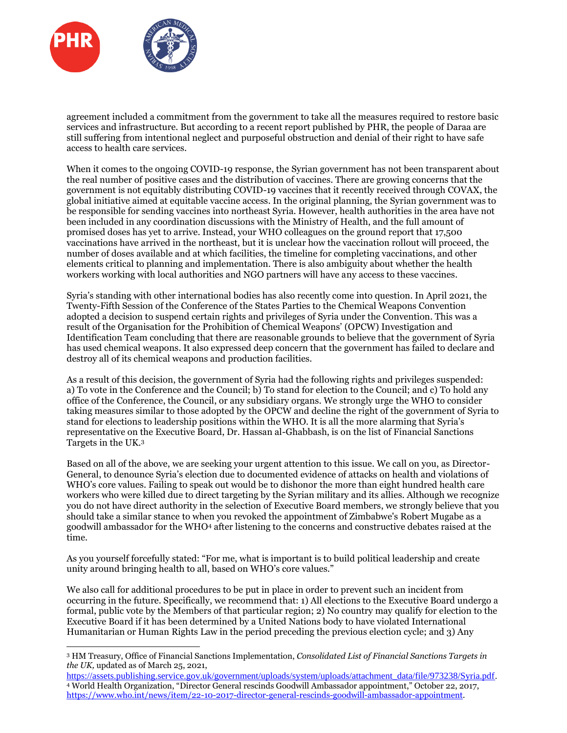

agreement included a commitment from the government to take all the measures required to restore basic services and infrastructure. But according to a recent report published by PHR, the people of Daraa are still suffering from intentional neglect and purposeful obstruction and denial of their right to have safe access to health care services.

When it comes to the ongoing COVID-19 response, the Syrian government has not been transparent about the real number of positive cases and the distribution of vaccines. There are growing concerns that the government is not equitably distributing COVID-19 vaccines that it recently received through COVAX, the global initiative aimed at equitable vaccine access. In the original planning, the Syrian government was to be responsible for sending vaccines into northeast Syria. However, health authorities in the area have not been included in any coordination discussions with the Ministry of Health, and the full amount of promised doses has yet to arrive. Instead, your WHO colleagues on the ground report that 17,500 vaccinations have arrived in the northeast, but it is unclear how the vaccination rollout will proceed, the number of doses available and at which facilities, the timeline for completing vaccinations, and other elements critical to planning and implementation. There is also ambiguity about whether the health workers working with local authorities and NGO partners will have any access to these vaccines.

Syria's standing with other international bodies has also recently come into question. In April 2021, the Twenty-Fifth Session of the Conference of the States Parties to the Chemical Weapons Convention adopted a decision to suspend certain rights and privileges of Syria under the Convention. This was a result of the Organisation for the Prohibition of Chemical Weapons' (OPCW) Investigation and Identification Team concluding that there are reasonable grounds to believe that the government of Syria has used chemical weapons. It also expressed deep concern that the government has failed to declare and destroy all of its chemical weapons and production facilities.

As a result of this decision, the government of Syria had the following rights and privileges suspended: a) To vote in the Conference and the Council; b) To stand for election to the Council; and c) To hold any office of the Conference, the Council, or any subsidiary organs. We strongly urge the WHO to consider taking measures similar to those adopted by the OPCW and decline the right of the government of Syria to stand for elections to leadership positions within the WHO. It is all the more alarming that Syria's representative on the Executive Board, Dr. Hassan al-Ghabbash, is on the list of Financial Sanctions Targets in the UK.<sup>3</sup>

Based on all of the above, we are seeking your urgent attention to this issue. We call on you, as Director-General, to denounce Syria's election due to documented evidence of attacks on health and violations of WHO's core values. Failing to speak out would be to dishonor the more than eight hundred health care workers who were killed due to direct targeting by the Syrian military and its allies. Although we recognize you do not have direct authority in the selection of Executive Board members, we strongly believe that you should take a similar stance to when you revoked the appointment of Zimbabwe's Robert Mugabe as a goodwill ambassador for the WHO<sup>4</sup> after listening to the concerns and constructive debates raised at the time.

As you yourself forcefully stated: "For me, what is important is to build political leadership and create unity around bringing health to all, based on WHO's core values."

We also call for additional procedures to be put in place in order to prevent such an incident from occurring in the future. Specifically, we recommend that: 1) All elections to the Executive Board undergo a formal, public vote by the Members of that particular region; 2) No country may qualify for election to the Executive Board if it has been determined by a United Nations body to have violated International Humanitarian or Human Rights Law in the period preceding the previous election cycle; and 3) Any

<sup>3</sup> HM Treasury, Office of Financial Sanctions Implementation, *Consolidated List of Financial Sanctions Targets in the UK,* updated as of March 25, 2021,

[https://assets.publishing.service.gov.uk/government/uploads/system/uploads/attachment\\_data/file/973238/Syria.pdf.](https://assets.publishing.service.gov.uk/government/uploads/system/uploads/attachment_data/file/973238/Syria.pdf) <sup>4</sup> World Health Organization, "Director General rescinds Goodwill Ambassador appointment," October 22, 2017, [https://www.who.int/news/item/22-10-2017-director-general-rescinds-goodwill-ambassador-appointment.](https://www.who.int/news/item/22-10-2017-director-general-rescinds-goodwill-ambassador-appointment)